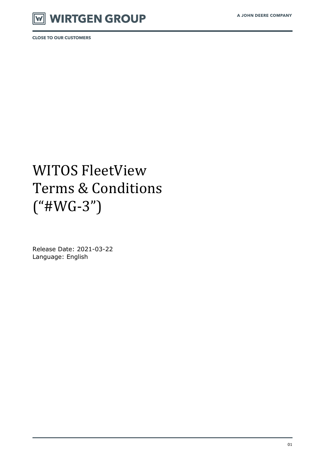

# WITOS FleetView Terms & Conditions ("#WG-3")

Release Date: 2021-03-22 Language: English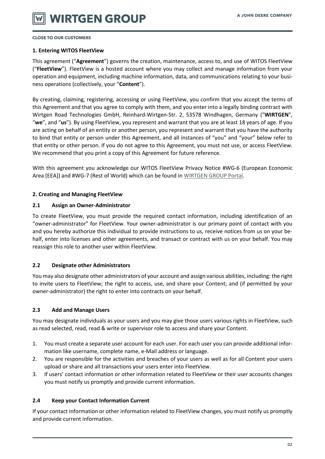#### **1. Entering WITOS FleetView**

This agreement ("**Agreement**") governs the creation, maintenance, access to, and use of WITOS FleetView ("**FleetView**"). FleetView is a hosted account where you may collect and manage information from your operation and equipment, including machine information, data, and communications relating to your business operations (collectively, your "**Content**").

By creating, claiming, registering, accessing or using FleetView, you confirm that you accept the terms of this Agreement and that you agree to comply with them, and you enter into a legally binding contract with Wirtgen Road Technologies GmbH, Reinhard-Wirtgen-Str. 2, 53578 Windhagen, Germany ("**WIRTGEN**", "**we**", and "**us**"). By using FleetView, you represent and warrant that you are at least 18 years of age. If you are acting on behalf of an entity or another person, you represent and warrant that you have the authority to bind that entity or person under this Agreement, and all instances of "you" and "your" below refer to that entity or other person. If you do not agree to this Agreement, you must not use, or access FleetView. We recommend that you print a copy of this Agreement for future reference.

With this agreement you acknowledge our WITOS FleetView Privacy Notice #WG-6 (European Economic Area [EEA]) and #WG-7 (Rest of World) which can be found in [WIRTGEN GROUP Portal.](https://news.cdn.wirtgen-group.com/witos_license_docs)

#### **2. Creating and Managing FleetView**

#### **2.1 Assign an Owner-Administrator**

To create FleetView, you must provide the required contact information, including identification of an "owner-administrator" for FleetView. Your owner-administrator is our primary point of contact with you and you hereby authorize this individual to provide instructions to us, receive notices from us on your behalf, enter into licenses and other agreements, and transact or contract with us on your behalf. You may reassign this role to another user within FleetView.

#### **2.2 Designate other Administrators**

You may also designate other administrators of your account and assign various abilities, including: the right to invite users to FleetView; the right to access, use, and share your Content; and (if permitted by your owner-administrator) the right to enter into contracts on your behalf.

#### **2.3 Add and Manage Users**

You may designate individuals as your users and you may give those users various rights in FleetView, such as read selected, read, read & write or supervisor role to access and share your Content.

- 1. You must create a separate user account for each user. For each user you can provide additional information like username, complete name, e-Mail address or language.
- 2. You are responsible for the activities and breaches of your users as well as for all Content your users upload or share and all transactions your users enter into FleetView.
- 3. If users' contact information or other information related to FleetView or their user accounts changes you must notify us promptly and provide current information.

#### **2.4 Keep your Contact Information Current**

If your contact information or other information related to FleetView changes, you must notify us promptly and provide current information.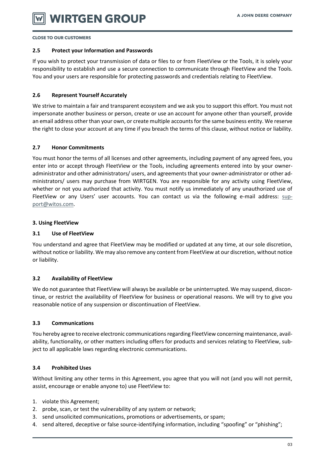#### **2.5 Protect your Information and Passwords**

If you wish to protect your transmission of data or files to or from FleetView or the Tools, it is solely your responsibility to establish and use a secure connection to communicate through FleetView and the Tools. You and your users are responsible for protecting passwords and credentials relating to FleetView.

#### **2.6 Represent Yourself Accurately**

We strive to maintain a fair and transparent ecosystem and we ask you to support this effort. You must not impersonate another business or person, create or use an account for anyone other than yourself, provide an email address other than your own, or create multiple accounts for the same business entity. We reserve the right to close your account at any time if you breach the terms of this clause, without notice or liability.

#### **2.7 Honor Commitments**

You must honor the terms of all licenses and other agreements, including payment of any agreed fees, you enter into or accept through FleetView or the Tools, including agreements entered into by your owneradministrator and other administrators/ users, and agreements that your owner-administrator or other administrators/ users may purchase from WIRTGEN. You are responsible for any activity using FleetView, whether or not you authorized that activity. You must notify us immediately of any unauthorized use of FleetView or any Users' user accounts. You can contact us via the following e-mail address: [sup](mailto:support@witos.com)[port@witos.com.](mailto:support@witos.com)

#### **3. Using FleetView**

#### **3.1 Use of FleetView**

You understand and agree that FleetView may be modified or updated at any time, at our sole discretion, without notice or liability. We may also remove any content from FleetView at our discretion, without notice or liability.

#### **3.2 Availability of FleetView**

We do not guarantee that FleetView will always be available or be uninterrupted. We may suspend, discontinue, or restrict the availability of FleetView for business or operational reasons. We will try to give you reasonable notice of any suspension or discontinuation of FleetView.

#### **3.3 Communications**

You hereby agree to receive electronic communications regarding FleetView concerning maintenance, availability, functionality, or other matters including offers for products and services relating to FleetView, subject to all applicable laws regarding electronic communications.

# **3.4 Prohibited Uses**

Without limiting any other terms in this Agreement, you agree that you will not (and you will not permit, assist, encourage or enable anyone to) use FleetView to:

- 1. violate this Agreement;
- 2. probe, scan, or test the vulnerability of any system or network;
- 3. send unsolicited communications, promotions or advertisements, or spam;
- 4. send altered, deceptive or false source-identifying information, including "spoofing" or "phishing";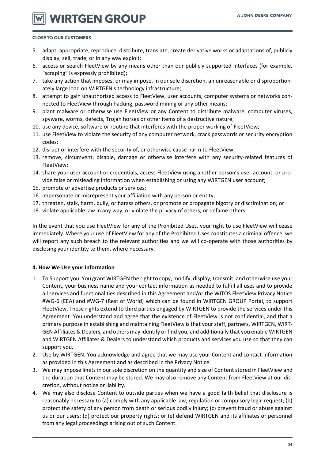**WIRTGEN GROUP** 

#### **CLOSE TO OUR CUSTOMERS**

- 5. adapt, appropriate, reproduce, distribute, translate, create derivative works or adaptations of, publicly display, sell, trade, or in any way exploit;
- 6. access or search FleetView by any means other than our publicly supported interfaces (for example, "scraping" is expressly prohibited);
- 7. take any action that imposes, or may impose, in our sole discretion, an unreasonable or disproportionately large load on WIRTGEN's technology infrastructure;
- 8. attempt to gain unauthorized access to FleetView, user accounts, computer systems or networks connected to FleetView through hacking, password mining or any other means;
- 9. plant malware or otherwise use FleetView or any Content to distribute malware, computer viruses, spyware, worms, defects, Trojan horses or other items of a destructive nature;
- 10. use any device, software or routine that interferes with the proper working of FleetView;
- 11. use FleetView to violate the security of any computer network, crack passwords or security encryption codes;
- 12. disrupt or interfere with the security of, or otherwise cause harm to FleetView;
- 13. remove, circumvent, disable, damage or otherwise interfere with any security-related features of FleetView;
- 14. share your user account or credentials, access FleetView using another person's user account, or provide false or misleading information when establishing or using any WIRTGEN user account;
- 15. promote or advertise products or services;
- 16. impersonate or misrepresent your affiliation with any person or entity;
- 17. threaten, stalk, harm, bully, or harass others, or promote or propagate bigotry or discrimination; or
- 18. violate applicable law in any way, or violate the privacy of others, or defame others.

In the event that you use FleetView for any of the Prohibited Uses, your right to use FleetView will cease immediately. Where your use of FleetView for any of the Prohibited Uses constitutes a criminal offence, we will report any such breach to the relevant authorities and we will co-operate with those authorities by disclosing your identity to them, where necessary.

#### **4. How We Use your Information**

- 1. To Support you. You grant WIRTGEN the right to copy, modify, display, transmit, and otherwise use your Content, your business name and your contact information as needed to fulfill all uses and to provide all services and functionalities described in this Agreement and/or the WITOS FleetView Privacy Notice #WG-6 (EEA) and #WG-7 (Rest of World) which can be found in WIRTGEN GROUP Portal, to support FleetView. These rights extend to third parties engaged by WIRTGEN to provide the services under this Agreement. You understand and agree that the existence of FleetView is not confidential, and that a primary purpose in establishing and maintaining FleetView is that your staff, partners, WIRTGEN, WIRT-GEN Affiliates & Dealers, and others may identify or find you, and additionally that you enable WIRTGEN and WIRTGEN Affiliates & Dealers to understand which products and services you use so that they can support you.
- 2. Use by WIRTGEN. You acknowledge and agree that we may use your Content and contact information as provided in this Agreement and as described in the Privacy Notice.
- 3. We may impose limits in our sole discretion on the quantity and size of Content stored in FleetView and the duration that Content may be stored. We may also remove any Content from FleetView at our discretion, without notice or liability.
- 4. We may also disclose Content to outside parties when we have a good faith belief that disclosure is reasonably necessary to (a) comply with any applicable law, regulation or compulsory legal request; (b) protect the safety of any person from death or serious bodily injury; (c) prevent fraud or abuse against us or our users; (d) protect our property rights; or (e) defend WIRTGEN and its affiliates or personnel from any legal proceedings arising out of such Content.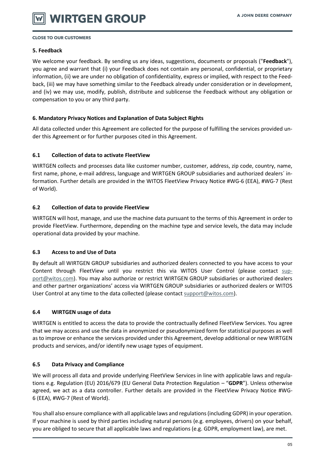#### **5. Feedback**

We welcome your feedback. By sending us any ideas, suggestions, documents or proposals ("**Feedback**"), you agree and warrant that (i) your Feedback does not contain any personal, confidential, or proprietary information, (ii) we are under no obligation of confidentiality, express or implied, with respect to the Feedback, (iii) we may have something similar to the Feedback already under consideration or in development, and (iv) we may use, modify, publish, distribute and sublicense the Feedback without any obligation or compensation to you or any third party.

#### **6. Mandatory Privacy Notices and Explanation of Data Subject Rights**

All data collected under this Agreement are collected for the purpose of fulfilling the services provided under this Agreement or for further purposes cited in this Agreement.

#### **6.1 Collection of data to activate FleetView**

WIRTGEN collects and processes data like customer number, customer, address, zip code, country, name, first name, phone, e-mail address, language and WIRTGEN GROUP subsidiaries and authorized dealers´ information. Further details are provided in the WITOS FleetView Privacy Notice #WG-6 (EEA), #WG-7 (Rest of World).

#### **6.2 Collection of data to provide FleetView**

WIRTGEN will host, manage, and use the machine data pursuant to the terms of this Agreement in order to provide FleetView. Furthermore, depending on the machine type and service levels, the data may include operational data provided by your machine.

#### **6.3 Access to and Use of Data**

By default all WIRTGEN GROUP subsidiaries and authorized dealers connected to you have access to your Content through FleetView until you restrict this via WITOS User Control (please contact [sup](mailto:support@witos.com)[port@witos.com\)](mailto:support@witos.com). You may also authorize or restrict WIRTGEN GROUP subsidiaries or authorized dealers and other partner organizations' access via WIRTGEN GROUP subsidiaries or authorized dealers or WITOS User Control at any time to the data collected (please contact [support@witos.com\)](mailto:support@witos.com).

#### **6.4 WIRTGEN usage of data**

WIRTGEN is entitled to access the data to provide the contractually defined FleetView Services. You agree that we may access and use the data in anonymized or pseudonymized form for statistical purposes as well as to improve or enhance the services provided under this Agreement, develop additional or new WIRTGEN products and services, and/or identify new usage types of equipment.

# **6.5 Data Privacy and Compliance**

We will process all data and provide underlying FleetView Services in line with applicable laws and regulations e.g. Regulation (EU) 2016/679 (EU General Data Protection Regulation – "**GDPR**"). Unless otherwise agreed, we act as a data controller. Further details are provided in the FleetView Privacy Notice #WG-6 (EEA), #WG-7 (Rest of World).

You shall also ensure compliance with all applicable laws and regulations (including GDPR) in your operation. If your machine is used by third parties including natural persons (e.g. employees, drivers) on your behalf, you are obliged to secure that all applicable laws and regulations (e.g. GDPR, employment law), are met.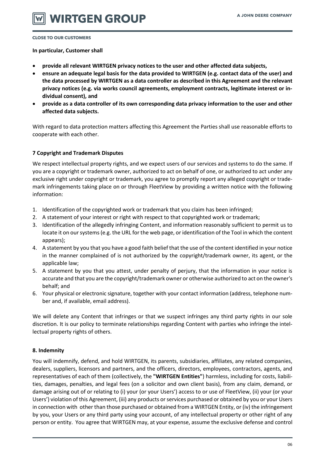**In particular, Customer shall**

- **provide all relevant WIRTGEN privacy notices to the user and other affected data subjects,**
- **ensure an adequate legal basis for the data provided to WIRTGEN (e.g. contact data of the user) and the data processed by WIRTGEN as a data controller as described in this Agreement and the relevant privacy notices (e.g. via works council agreements, employment contracts, legitimate interest or individual consent), and**
- **provide as a data controller of its own corresponding data privacy information to the user and other affected data subjects.**

With regard to data protection matters affecting this Agreement the Parties shall use reasonable efforts to cooperate with each other.

# **7 Copyright and Trademark Disputes**

We respect intellectual property rights, and we expect users of our services and systems to do the same. If you are a copyright or trademark owner, authorized to act on behalf of one, or authorized to act under any exclusive right under copyright or trademark, you agree to promptly report any alleged copyright or trademark infringements taking place on or through FleetView by providing a written notice with the following information:

- 1. Identification of the copyrighted work or trademark that you claim has been infringed;
- 2. A statement of your interest or right with respect to that copyrighted work or trademark;
- 3. Identification of the allegedly infringing Content, and information reasonably sufficient to permit us to locate it on our systems (e.g. the URL for the web page, or identification of the Tool in which the content appears);
- 4. A statement by you that you have a good faith belief that the use of the content identified in your notice in the manner complained of is not authorized by the copyright/trademark owner, its agent, or the applicable law;
- 5. A statement by you that you attest, under penalty of perjury, that the information in your notice is accurate and that you are the copyright/trademark owner or otherwise authorized to act on the owner's behalf; and
- 6. Your physical or electronic signature, together with your contact information (address, telephone number and, if available, email address).

We will delete any Content that infringes or that we suspect infringes any third party rights in our sole discretion. It is our policy to terminate relationships regarding Content with parties who infringe the intellectual property rights of others.

# **8. Indemnity**

You will indemnify, defend, and hold WIRTGEN, its parents, subsidiaries, affiliates, any related companies, dealers, suppliers, licensors and partners, and the officers, directors, employees, contractors, agents, and representatives of each of them (collectively, the **"WIRTGEN Entities"**) harmless, including for costs, liabilities, damages, penalties, and legal fees (on a solicitor and own client basis), from any claim, demand, or damage arising out of or relating to (i) your (or your Users') access to or use of FleetView, (ii) your (or your Users') violation of this Agreement, (iii) any products or services purchased or obtained by you or your Users in connection with other than those purchased or obtained from a WIRTGEN Entity, or (iv) the infringement by you, your Users or any third party using your account, of any intellectual property or other right of any person or entity. You agree that WIRTGEN may, at your expense, assume the exclusive defense and control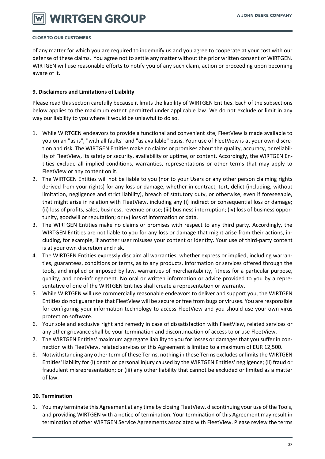# **WIRTGEN GROUP**

#### **CLOSE TO OUR CUSTOMERS**

of any matter for which you are required to indemnify us and you agree to cooperate at your cost with our defense of these claims. You agree not to settle any matter without the prior written consent of WIRTGEN. WIRTGEN will use reasonable efforts to notify you of any such claim, action or proceeding upon becoming aware of it.

#### **9. Disclaimers and Limitations of Liability**

Please read this section carefully because it limits the liability of WIRTGEN Entities. Each of the subsections below applies to the maximum extent permitted under applicable law. We do not exclude or limit in any way our liability to you where it would be unlawful to do so.

- 1. While WIRTGEN endeavors to provide a functional and convenient site, FleetView is made available to you on an "as is", "with all faults" and "as available" basis. Your use of FleetView is at your own discretion and risk. The WIRTGEN Entities make no claims or promises about the quality, accuracy, or reliability of FleetView, its safety or security, availability or uptime, or content. Accordingly, the WIRTGEN Entities exclude all implied conditions, warranties, representations or other terms that may apply to FleetView or any content on it.
- 2. The WIRTGEN Entities will not be liable to you (nor to your Users or any other person claiming rights derived from your rights) for any loss or damage, whether in contract, tort, delict (including, without limitation, negligence and strict liability), breach of statutory duty, or otherwise, even if foreseeable, that might arise in relation with FleetView, including any (i) indirect or consequential loss or damage; (ii) loss of profits, sales, business, revenue or use; (iii) business interruption; (iv) loss of business opportunity, goodwill or reputation; or (v) loss of information or data.
- 3. The WIRTGEN Entities make no claims or promises with respect to any third party. Accordingly, the WIRTGEN Entities are not liable to you for any loss or damage that might arise from their actions, including, for example, if another user misuses your content or identity. Your use of third-party content is at your own discretion and risk.
- 4. The WIRTGEN Entities expressly disclaim all warranties, whether express or implied, including warranties, guarantees, conditions or terms, as to any products, information or services offered through the tools, and implied or imposed by law, warranties of merchantability, fitness for a particular purpose, quality, and non-infringement. No oral or written information or advice provided to you by a representative of one of the WIRTGEN Entities shall create a representation or warranty.
- 5. While WIRTGEN will use commercially reasonable endeavors to deliver and support you, the WIRTGEN Entities do not guarantee that FleetView will be secure or free from bugs or viruses. You are responsible for configuring your information technology to access FleetView and you should use your own virus protection software.
- 6. Your sole and exclusive right and remedy in case of dissatisfaction with FleetView, related services or any other grievance shall be your termination and discontinuation of access to or use FleetView.
- 7. The WIRTGEN Entities' maximum aggregate liability to you for losses or damages that you suffer in connection with FleetView, related services or this Agreement is limited to a maximum of EUR 12,500.
- 8. Notwithstanding any other term of these Terms, nothing in these Terms excludes or limits the WIRTGEN Entities' liability for (i) death or personal injury caused by the WIRTGEN Entities' negligence; (ii) fraud or fraudulent misrepresentation; or (iii) any other liability that cannot be excluded or limited as a matter of law.

# **10. Termination**

1. You may terminate this Agreement at any time by closing FleetView, discontinuing your use of the Tools, and providing WIRTGEN with a notice of termination. Your termination of this Agreement may result in termination of other WIRTGEN Service Agreements associated with FleetView. Please review the terms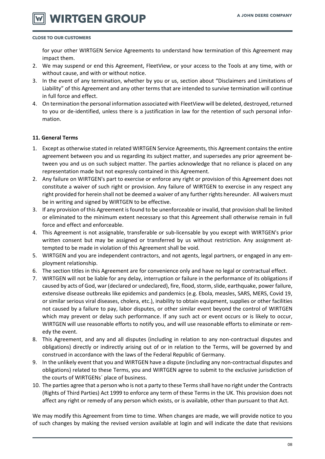# **WIRTGEN GROUP**

#### **CLOSE TO OUR CUSTOMERS**

for your other WIRTGEN Service Agreements to understand how termination of this Agreement may impact them.

- 2. We may suspend or end this Agreement, FleetView, or your access to the Tools at any time, with or without cause, and with or without notice.
- 3. In the event of any termination, whether by you or us, section about "Disclaimers and Limitations of Liability" of this Agreement and any other terms that are intended to survive termination will continue in full force and effect.
- 4. On termination the personal information associated with FleetView will be deleted, destroyed, returned to you or de-identified, unless there is a justification in law for the retention of such personal information.

#### **11. General Terms**

- 1. Except as otherwise stated in related WIRTGEN Service Agreements, this Agreement contains the entire agreement between you and us regarding its subject matter, and supersedes any prior agreement between you and us on such subject matter. The parties acknowledge that no reliance is placed on any representation made but not expressly contained in this Agreement.
- 2. Any failure on WIRTGEN's part to exercise or enforce any right or provision of this Agreement does not constitute a waiver of such right or provision. Any failure of WIRTGEN to exercise in any respect any right provided for herein shall not be deemed a waiver of any further rights hereunder. All waivers must be in writing and signed by WIRTGEN to be effective.
- 3. If any provision of this Agreement is found to be unenforceable or invalid, that provision shall be limited or eliminated to the minimum extent necessary so that this Agreement shall otherwise remain in full force and effect and enforceable.
- 4. This Agreement is not assignable, transferable or sub-licensable by you except with WIRTGEN's prior written consent but may be assigned or transferred by us without restriction. Any assignment attempted to be made in violation of this Agreement shall be void.
- 5. WIRTGEN and you are independent contractors, and not agents, legal partners, or engaged in any employment relationship.
- 6. The section titles in this Agreement are for convenience only and have no legal or contractual effect.
- 7. WIRTGEN will not be liable for any delay, interruption or failure in the performance of its obligations if caused by acts of God, war (declared or undeclared), fire, flood, storm, slide, earthquake, power failure, extensive disease outbreaks like epidemics and pandemics (e.g. Ebola, measles, SARS, MERS, Covid 19, or similar serious viral diseases, cholera, etc.), inability to obtain equipment, supplies or other facilities not caused by a failure to pay, labor disputes, or other similar event beyond the control of WIRTGEN which may prevent or delay such performance. If any such act or event occurs or is likely to occur, WIRTGEN will use reasonable efforts to notify you, and will use reasonable efforts to eliminate or remedy the event.
- 8. This Agreement, and any and all disputes (including in relation to any non-contractual disputes and obligations) directly or indirectly arising out of or in relation to the Terms, will be governed by and construed in accordance with the laws of the Federal Republic of Germany.
- 9. In the unlikely event that you and WIRTGEN have a dispute (including any non-contractual disputes and obligations) related to these Terms, you and WIRTGEN agree to submit to the exclusive jurisdiction of the courts of WIRTGENs´ place of business.
- 10. The parties agree that a person who is not a party to these Terms shall have no right under the Contracts (Rights of Third Parties) Act 1999 to enforce any term of these Terms in the UK. This provision does not affect any right or remedy of any person which exists, or is available, other than pursuant to that Act.

We may modify this Agreement from time to time. When changes are made, we will provide notice to you of such changes by making the revised version available at login and will indicate the date that revisions